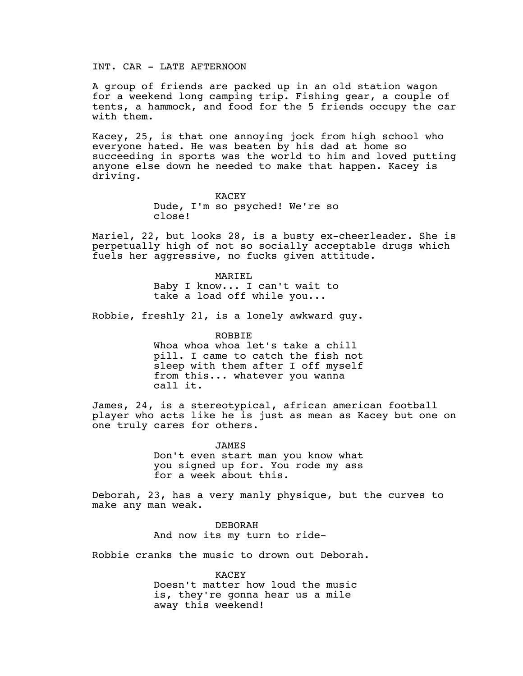INT. CAR - LATE AFTERNOON

A group of friends are packed up in an old station wagon for a weekend long camping trip. Fishing gear, a couple of tents, a hammock, and food for the 5 friends occupy the car with them.

Kacey, 25, is that one annoying jock from high school who everyone hated. He was beaten by his dad at home so succeeding in sports was the world to him and loved putting anyone else down he needed to make that happen. Kacey is driving.

> KACEY Dude, I'm so psyched! We're so close!

Mariel, 22, but looks 28, is a busty ex-cheerleader. She is perpetually high of not so socially acceptable drugs which fuels her aggressive, no fucks given attitude.

> MARIEL Baby I know... I can't wait to take a load off while you...

Robbie, freshly 21, is a lonely awkward guy.

ROBBIE

Whoa whoa whoa let's take a chill pill. I came to catch the fish not sleep with them after I off myself from this... whatever you wanna call it.

James, 24, is a stereotypical, african american football player who acts like he is just as mean as Kacey but one on one truly cares for others.

> JAMES Don't even start man you know what you signed up for. You rode my ass for a week about this.

Deborah, 23, has a very manly physique, but the curves to make any man weak.

> DEBORAH And now its my turn to ride-

Robbie cranks the music to drown out Deborah.

KACEY Doesn't matter how loud the music is, they're gonna hear us a mile away this weekend!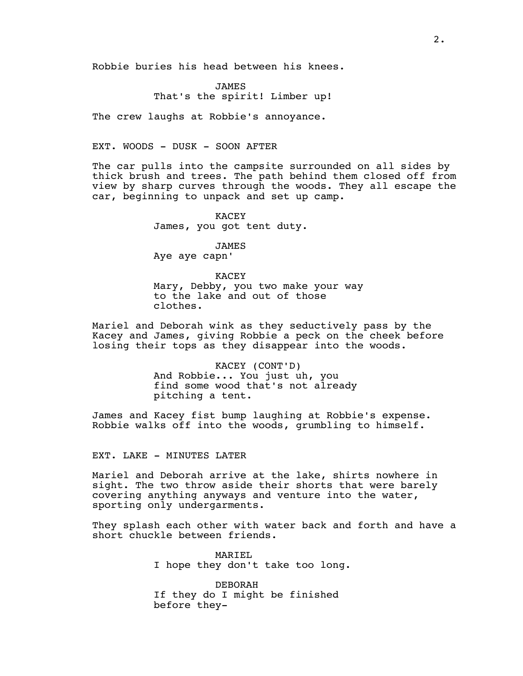Robbie buries his head between his knees.

JAMES That's the spirit! Limber up!

The crew laughs at Robbie's annoyance.

## EXT. WOODS - DUSK - SOON AFTER

The car pulls into the campsite surrounded on all sides by thick brush and trees. The path behind them closed off from view by sharp curves through the woods. They all escape the car, beginning to unpack and set up camp.

> KACEY James, you got tent duty.

> > JAMES

Aye aye capn'

KACEY Mary, Debby, you two make your way to the lake and out of those clothes.

Mariel and Deborah wink as they seductively pass by the Kacey and James, giving Robbie a peck on the cheek before losing their tops as they disappear into the woods.

## KACEY (CONT'D) And Robbie... You just uh, you find some wood that's not already pitching a tent.

James and Kacey fist bump laughing at Robbie's expense. Robbie walks off into the woods, grumbling to himself.

## EXT. LAKE - MINUTES LATER

Mariel and Deborah arrive at the lake, shirts nowhere in sight. The two throw aside their shorts that were barely covering anything anyways and venture into the water, sporting only undergarments.

They splash each other with water back and forth and have a short chuckle between friends.

> MARIEL I hope they don't take too long.

DEBORAH If they do I might be finished before they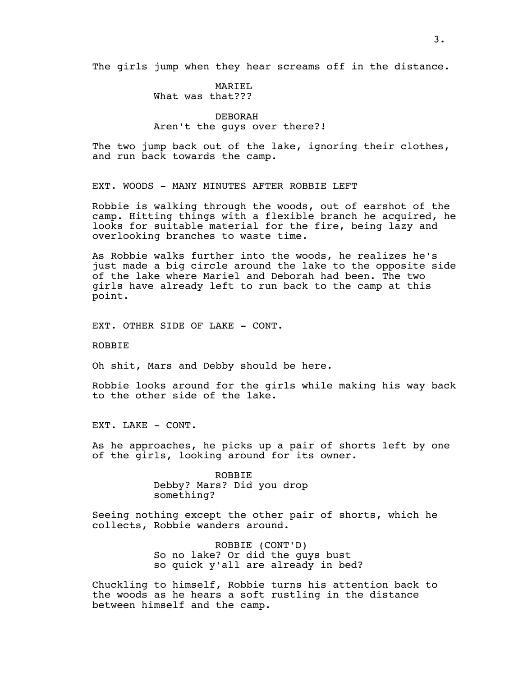The girls jump when they hear screams off in the distance.

MARIEL What was that???

## DEBORAH Aren't the guys over there?!

The two jump back out of the lake, ignoring their clothes, and run back towards the camp.

EXT. WOODS - MANY MINUTES AFTER ROBBIE LEFT

Robbie is walking through the woods, out of earshot of the camp. Hitting things with a flexible branch he acquired, he looks for suitable material for the fire, being lazy and overlooking branches to waste time.

As Robbie walks further into the woods, he realizes he's just made a big circle around the lake to the opposite side of the lake where Mariel and Deborah had been. The two girls have already left to run back to the camp at this point.

EXT. OTHER SIDE OF LAKE - CONT.

ROBBIE

Oh shit, Mars and Debby should be here.

Robbie looks around for the girls while making his way back to the other side of the lake.

EXT. LAKE - CONT.

As he approaches, he picks up a pair of shorts left by one of the girls, looking around for its owner.

> ROBBIE Debby? Mars? Did you drop something?

Seeing nothing except the other pair of shorts, which he collects, Robbie wanders around.

> ROBBIE (CONT'D) So no lake? Or did the guys bust so quick y'all are already in bed?

Chuckling to himself, Robbie turns his attention back to the woods as he hears a soft rustling in the distance between himself and the camp.